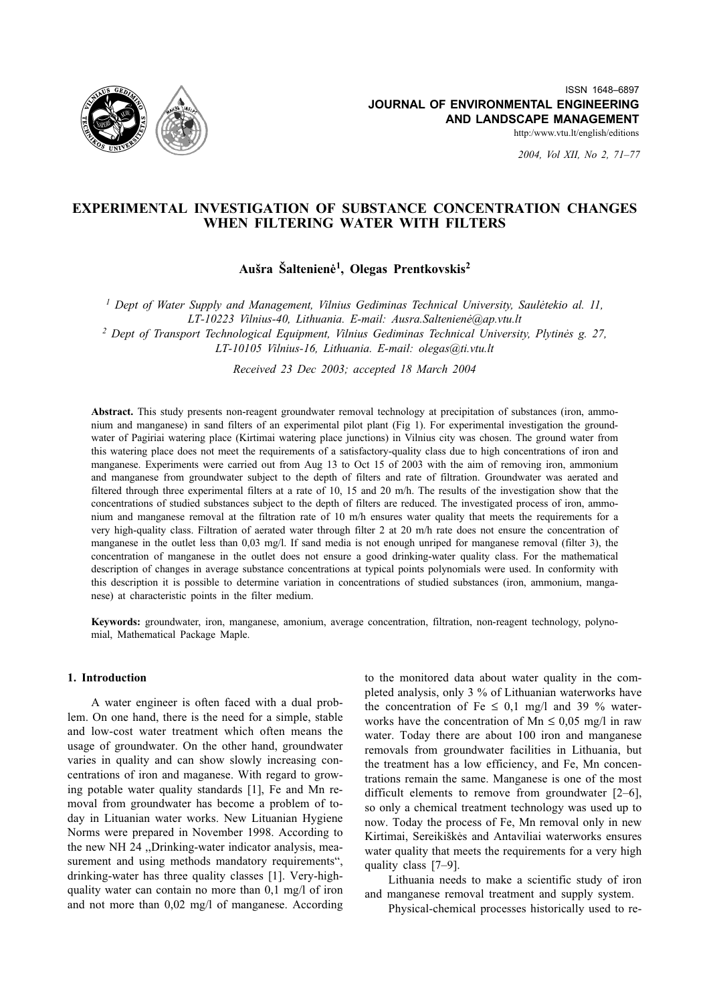

2004, Vol XII, No 2, 71-77

# EXPERIMENTAL INVESTIGATION OF SUBSTANCE CONCENTRATION CHANGES WHEN FILTERING WATER WITH FILTERS

Aušra Šaltenienė<sup>1</sup>, Olegas Prentkovskis<sup>2</sup>

<sup>1</sup> Dept of Water Supply and Management, Vilnius Gediminas Technical University, Sauletekio al. 11, LT-10223 Vilnius-40, Lithuania. E-mail: Ausra.Saltenienė@ap.vtu.lt

<sup>2</sup> Dept of Transport Technological Equipment, Vilnius Gediminas Technical University, Plytinės g. 27, LT-10105 Vilnius-16, Lithuania. E-mail: olegas@ti.vtu.lt

Received 23 Dec 2003; accepted 18 March 2004

Abstract. This study presents non-reagent groundwater removal technology at precipitation of substances (iron, ammonium and manganese) in sand filters of an experimental pilot plant (Fig 1). For experimental investigation the groundwater of Pagiriai watering place (Kirtimai watering place junctions) in Vilnius city was chosen. The ground water from this watering place does not meet the requirements of a satisfactory-quality class due to high concentrations of iron and manganese. Experiments were carried out from Aug 13 to Oct 15 of 2003 with the aim of removing iron, ammonium and manganese from groundwater subject to the depth of filters and rate of filtration. Groundwater was aerated and filtered through three experimental filters at a rate of 10, 15 and 20 m/h. The results of the investigation show that the concentrations of studied substances subject to the depth of filters are reduced. The investigated process of iron, ammonium and manganese removal at the filtration rate of 10 m/h ensures water quality that meets the requirements for a very high-quality class. Filtration of aerated water through filter 2 at 20 m/h rate does not ensure the concentration of manganese in the outlet less than 0,03 mg/l. If sand media is not enough unriped for manganese removal (filter 3), the concentration of manganese in the outlet does not ensure a good drinking-water quality class. For the mathematical description of changes in average substance concentrations at typical points polynomials were used. In conformity with this description it is possible to determine variation in concentrations of studied substances (iron. ammonium. manganese) at characteristic points in the filter medium.

Keywords: groundwater, iron, manganese, amonium, average concentration, filtration, non-reagent technology, polynomial, Mathematical Package Maple.

## 1. Introduction

A water engineer is often faced with a dual problem. On one hand, there is the need for a simple, stable and low-cost water treatment which often means the usage of groundwater. On the other hand, groundwater varies in quality and can show slowly increasing concentrations of iron and maganese. With regard to growing potable water quality standards [1], Fe and Mn removal from groundwater has become a problem of today in Lituanian water works. New Lituanian Hygiene Norms were prepared in November 1998. According to the new NH 24 "Drinking-water indicator analysis, measurement and using methods mandatory requirements", drinking-water has three quality classes [1]. Very-highquality water can contain no more than 0.1 mg/l of iron and not more than  $0.02 \text{ mg/l}$  of manganese. According to the monitored data about water quality in the completed analysis, only 3 % of Lithuanian waterworks have the concentration of Fe  $\leq$  0,1 mg/l and 39 % waterworks have the concentration of Mn  $\leq$  0,05 mg/l in raw water. Today there are about 100 iron and manganese removals from groundwater facilities in Lithuania, but the treatment has a low efficiency, and Fe. Mn concentrations remain the same. Manganese is one of the most difficult elements to remove from groundwater  $[2-6]$ , so only a chemical treatment technology was used up to now. Today the process of Fe, Mn removal only in new Kirtimai, Sereikiškės and Antaviliai waterworks ensures water quality that meets the requirements for a very high quality class [7-9].

Lithuania needs to make a scientific study of iron and manganese removal treatment and supply system.

Physical-chemical processes historically used to re-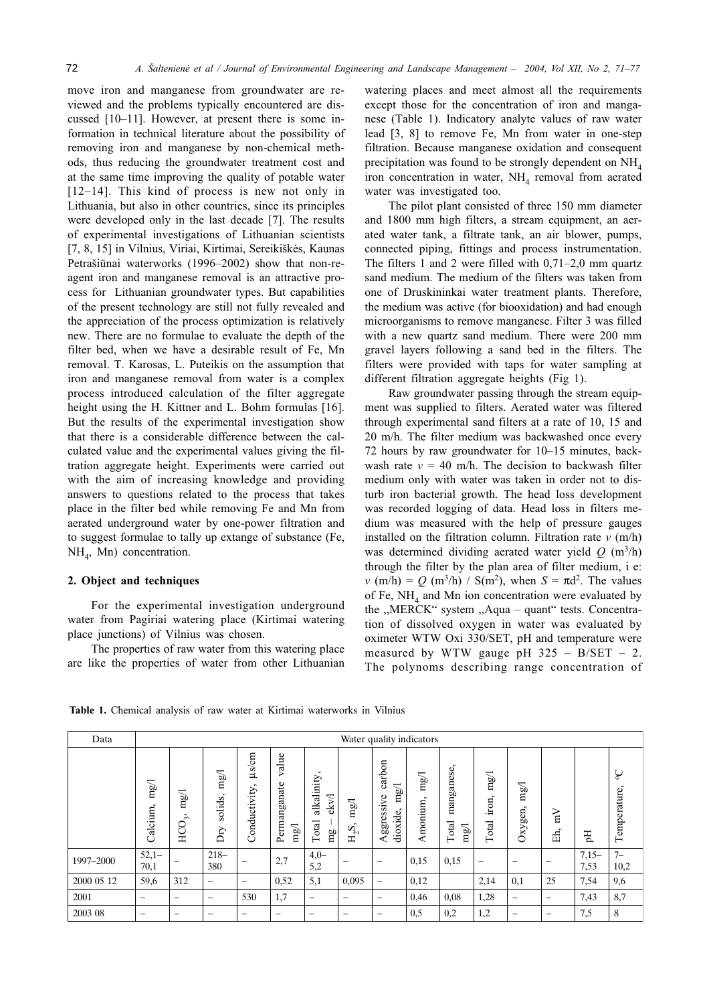move iron and manganese from groundwater are reviewed and the problems typically encountered are discussed [10-11]. However, at present there is some information in technical literature about the possibility of removing iron and manganese by non-chemical methods, thus reducing the groundwater treatment cost and at the same time improving the quality of potable water  $[12-14]$ . This kind of process is new not only in Lithuania, but also in other countries, since its principles were developed only in the last decade [7]. The results of experimental investigations of Lithuanian scientists [7, 8, 15] in Vilnius, Viriai, Kirtimai, Sereikiškės, Kaunas Petrašiūnai waterworks (1996–2002) show that non-reagent iron and manganese removal is an attractive process for Lithuanian groundwater types. But capabilities of the present technology are still not fully revealed and the appreciation of the process optimization is relatively new. There are no formulae to evaluate the depth of the filter bed, when we have a desirable result of Fe, Mn removal. T. Karosas, L. Puteikis on the assumption that iron and manganese removal from water is a complex process introduced calculation of the filter aggregate height using the H. Kittner and L. Bohm formulas [16]. But the results of the experimental investigation show that there is a considerable difference between the calculated value and the experimental values giving the filtration aggregate height. Experiments were carried out with the aim of increasing knowledge and providing answers to questions related to the process that takes place in the filter bed while removing Fe and Mn from aerated underground water by one-power filtration and to suggest formulae to tally up extange of substance (Fe,  $NH<sub>4</sub>$ , Mn) concentration.

## 2. Object and techniques

For the experimental investigation underground water from Pagiriai watering place (Kirtimai watering place junctions) of Vilnius was chosen.

The properties of raw water from this watering place are like the properties of water from other Lithuanian watering places and meet almost all the requirements except those for the concentration of iron and manganese (Table 1). Indicatory analyte values of raw water lead [3, 8] to remove Fe, Mn from water in one-step filtration. Because manganese oxidation and consequent precipitation was found to be strongly dependent on  $NH<sub>4</sub>$ iron concentration in water, NH<sub>4</sub> removal from aerated water was investigated too.

The pilot plant consisted of three 150 mm diameter and 1800 mm high filters, a stream equipment, an aerated water tank, a filtrate tank, an air blower, pumps, connected piping, fittings and process instrumentation. The filters 1 and 2 were filled with  $0,71-2,0$  mm quartz sand medium. The medium of the filters was taken from one of Druskininkai water treatment plants. Therefore, the medium was active (for biooxidation) and had enough microorganisms to remove manganese. Filter 3 was filled with a new quartz sand medium. There were 200 mm gravel layers following a sand bed in the filters. The filters were provided with taps for water sampling at different filtration aggregate heights (Fig 1).

Raw groundwater passing through the stream equipment was supplied to filters. Aerated water was filtered through experimental sand filters at a rate of 10, 15 and 20 m/h. The filter medium was backwashed once every 72 hours by raw groundwater for 10–15 minutes, backwash rate  $v = 40$  m/h. The decision to backwash filter medium only with water was taken in order not to disturb iron bacterial growth. The head loss development was recorded logging of data. Head loss in filters medium was measured with the help of pressure gauges installed on the filtration column. Filtration rate  $v$  (m/h) was determined dividing aerated water yield  $Q(m^3/h)$ through the filter by the plan area of filter medium, i e:  $v (m/h) = Q (m^3/h) / S(m^2)$ , when  $S = \pi d^2$ . The values of Fe,  $NH<sub>A</sub>$  and Mn ion concentration were evaluated by the "MERCK" system "Aqua - quant" tests. Concentration of dissolved oxygen in water was evaluated by oximeter WTW Oxi 330/SET, pH and temperature were measured by WTW gauge pH  $325 - B/SET - 2$ . The polynoms describing range concentration of

| Data       | Water quality indicators |                                      |                               |                                              |                               |                                    |                                       |                                          |                  |                             |                        |                     |                         |                 |                  |
|------------|--------------------------|--------------------------------------|-------------------------------|----------------------------------------------|-------------------------------|------------------------------------|---------------------------------------|------------------------------------------|------------------|-----------------------------|------------------------|---------------------|-------------------------|-----------------|------------------|
|            | mg/<br>Calcium,          | mg/<br>$\sim$<br>$\tilde{c}$<br>HCO. | mg/1<br>solids,<br>$\rm{Dry}$ | µs/cm<br>$\hat{\phantom{a}}$<br>Conductivity | value<br>Permanganate<br>mg/1 | alkalinity<br>ekv/l<br>Total<br>mg | mg/1<br>$\hat{\phantom{a}}$<br>$H_2S$ | carbon<br>mg/1<br>Aggressive<br>dioxide, | mg/l<br>Amonium, | manganese,<br>Total<br>mg/1 | mg/1<br>iron,<br>Total | mg/l<br>xygen,<br>Ò | $\sum_{i=1}^{n}$<br>Eĥ, | H               | ç<br>Temperature |
| 1997-2000  | $52,1-$<br>70,1          |                                      | $218-$<br>380                 | -                                            | 2,7                           | $4,0-$<br>5,2                      |                                       | $\overline{\phantom{0}}$                 | 0,15             | 0,15                        | $\qquad \qquad$        | -                   | -                       | $7,15-$<br>7,53 | $7 -$<br>10,2    |
| 2000 05 12 | 59,6                     | 312                                  | $\overline{\phantom{0}}$      | $\overline{\phantom{0}}$                     | 0,52                          | 5,1                                | 0,095                                 | -                                        | 0,12             |                             | 2,14                   | 0,1                 | 25                      | 7.54            | 9,6              |
| 2001       | -                        | $\qquad \qquad$                      | $\overline{\phantom{0}}$      | 530                                          | 1,7                           | -                                  | $\overline{\phantom{0}}$              | $\overline{\phantom{0}}$                 | 0,46             | 0,08                        | 1,28                   | -                   | $\qquad \qquad$         | 7,43            | 8,7              |
| 2003 08    | -                        | $\overline{\phantom{0}}$             | $\overline{\phantom{0}}$      | -                                            | $\overline{\phantom{0}}$      | -                                  | $\overline{\phantom{0}}$              | $\overline{\phantom{0}}$                 | 0,5              | 0,2                         | 1,2                    | -                   | -                       | 7,5             | 8                |

Table 1. Chemical analysis of raw water at Kirtimai waterworks in Vilnius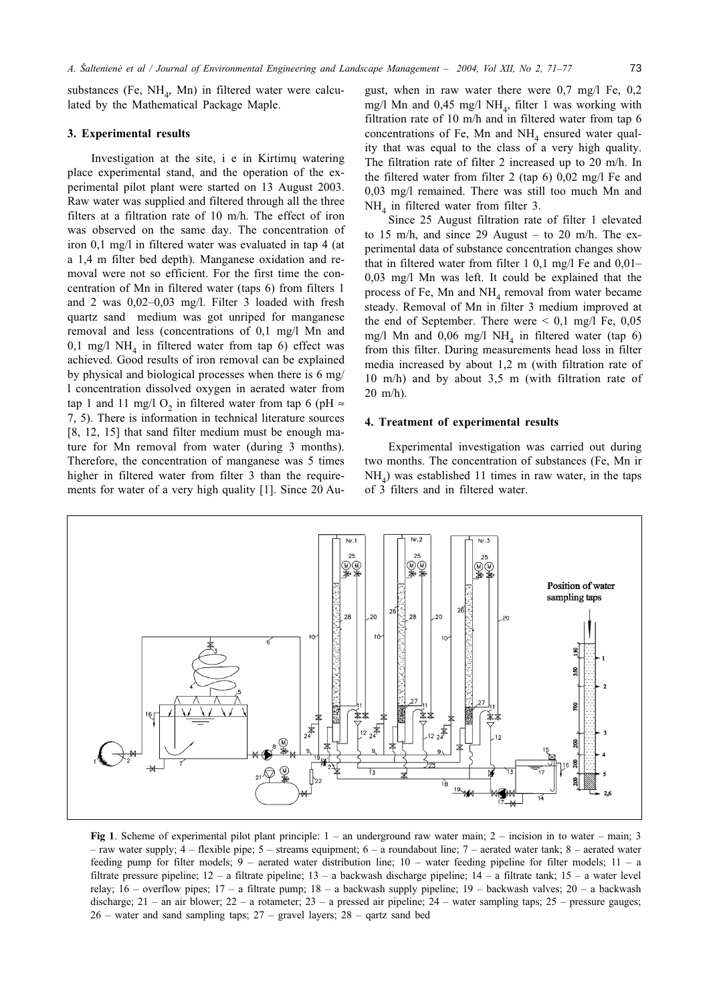substances (Fe,  $NH_4$ , Mn) in filtered water were calculated by the Mathematical Package Maple.

#### 3. Experimental results

Investigation at the site, i e in Kirtimu watering place experimental stand, and the operation of the experimental pilot plant were started on 13 August 2003. Raw water was supplied and filtered through all the three filters at a filtration rate of 10 m/h. The effect of iron was observed on the same day. The concentration of iron 0,1 mg/l in filtered water was evaluated in tap 4 (at a 1,4 m filter bed depth). Manganese oxidation and removal were not so efficient. For the first time the concentration of Mn in filtered water (taps 6) from filters 1 and 2 was  $0,02-0,03$  mg/l. Filter 3 loaded with fresh quartz sand medium was got unriped for manganese removal and less (concentrations of 0,1 mg/l Mn and 0,1 mg/l NH<sub>4</sub> in filtered water from tap 6) effect was achieved. Good results of iron removal can be explained by physical and biological processes when there is 6 mg/ 1 concentration dissolved oxygen in aerated water from tap 1 and 11 mg/l O<sub>2</sub> in filtered water from tap 6 (pH  $\approx$ 7, 5). There is information in technical literature sources [8, 12, 15] that sand filter medium must be enough mature for Mn removal from water (during 3 months). Therefore, the concentration of manganese was 5 times higher in filtered water from filter 3 than the requirements for water of a very high quality [1]. Since 20 August, when in raw water there were  $0.7 \text{ mg/l}$  Fe,  $0.2$ mg/l Mn and 0,45 mg/l NH<sub>4</sub>, filter 1 was working with filtration rate of 10 m/h and in filtered water from tap 6 concentrations of Fe, Mn and  $NH<sub>4</sub>$  ensured water quality that was equal to the class of a very high quality. The filtration rate of filter 2 increased up to 20 m/h. In the filtered water from filter 2 (tap  $6$ ) 0,02 mg/l Fe and 0,03 mg/l remained. There was still too much Mn and NH<sub>4</sub> in filtered water from filter 3.

Since 25 August filtration rate of filter 1 elevated to 15 m/h, and since 29 August - to 20 m/h. The experimental data of substance concentration changes show that in filtered water from filter 1 0,1 mg/l Fe and  $0,01 0.03$  mg/l Mn was left. It could be explained that the process of Fe, Mn and NH<sub>4</sub> removal from water became steady. Removal of Mn in filter 3 medium improved at the end of September. There were  $\leq 0.1$  mg/l Fe, 0.05 mg/l Mn and 0,06 mg/l NH<sub>4</sub> in filtered water (tap 6) from this filter. During measurements head loss in filter media increased by about 1,2 m (with filtration rate of 10 m/h) and by about 3,5 m (with filtration rate of  $20 \text{ m/h}$ ).

## 4. Treatment of experimental results

Experimental investigation was carried out during two months. The concentration of substances (Fe, Mn ir  $NH<sub>A</sub>$ ) was established 11 times in raw water, in the taps of 3 filters and in filtered water.



Fig 1. Scheme of experimental pilot plant principle:  $1 -$  an underground raw water main;  $2 -$  incision in to water  $-$  main; 3 - raw water supply;  $4$  - flexible pipe;  $5$  - streams equipment;  $6$  - a roundabout line;  $7$  - aerated water tank;  $8$  - aerated water feeding pump for filter models;  $9$  – aerated water distribution line;  $10$  – water feeding pipeline for filter models;  $11$  – a filtrate pressure pipeline;  $12 - a$  filtrate pipeline;  $13 - a$  backwash discharge pipeline;  $14 - a$  filtrate tank;  $15 - a$  water level relay; 16 – overflow pipes; 17 – a filtrate pump; 18 – a backwash supply pipeline; 19 – backwash valves; 20 – a backwash discharge;  $21 -$ an air blower;  $22 -$ a rotameter;  $23 -$ a pressed air pipeline;  $24 -$ water sampling taps;  $25 -$ pressure gauges;  $26$  – water and sand sampling taps;  $27$  – gravel layers;  $28$  – qartz sand bed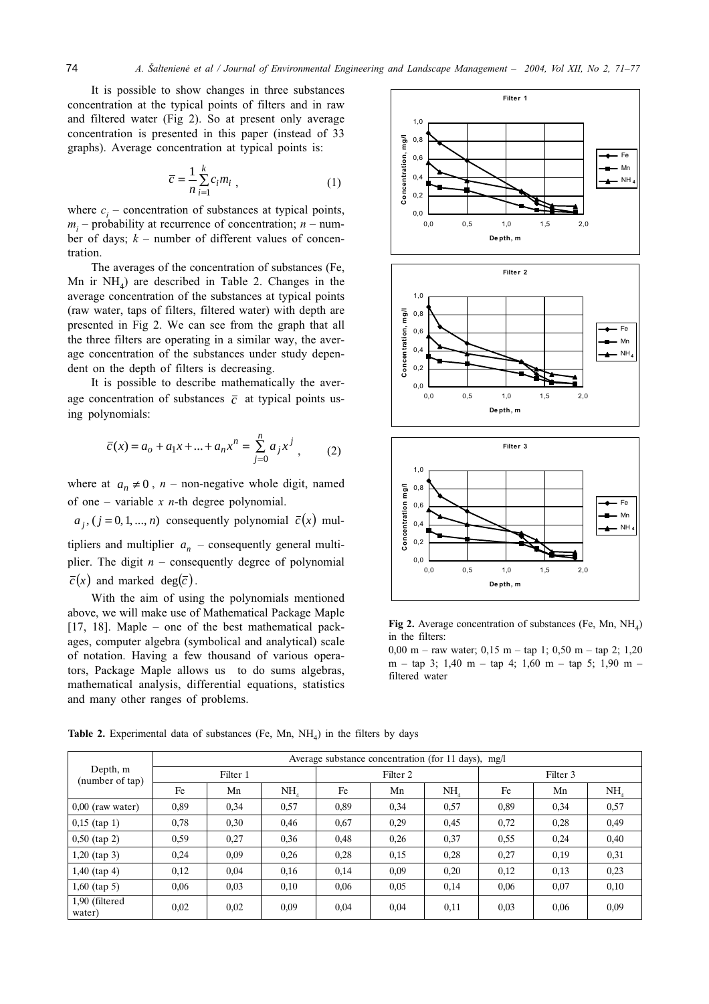It is possible to show changes in three substances concentration at the typical points of filters and in raw and filtered water (Fig 2). So at present only average concentration is presented in this paper (instead of 33 graphs). Average concentration at typical points is:

$$
\overline{c} = \frac{1}{n} \sum_{i=1}^{k} c_i m_i , \qquad (1)
$$

where  $c_i$  – concentration of substances at typical points,  $m_i$  – probability at recurrence of concentration;  $n -$  number of days;  $k$  – number of different values of concentration.

The averages of the concentration of substances (Fe, Mn ir  $NH<sub>4</sub>$ ) are described in Table 2. Changes in the average concentration of the substances at typical points (raw water, taps of filters, filtered water) with depth are presented in Fig 2. We can see from the graph that all the three filters are operating in a similar way, the average concentration of the substances under study dependent on the depth of filters is decreasing.

It is possible to describe mathematically the average concentration of substances  $\overline{c}$  at typical points using polynomials:

$$
\overline{c}(x) = a_o + a_1 x + \dots + a_n x^n = \sum_{j=0}^{n} a_j x^j,
$$
 (2)

where at  $a_n \neq 0$ ,  $n$  – non-negative whole digit, named of one – variable x  $n$ -th degree polynomial.

 $a_i$ ,  $(j = 0, 1, ..., n)$  consequently polynomial  $\bar{c}(x)$  mul-

tipliers and multiplier  $a_n$  – consequently general multiplier. The digit  $n$  – consequently degree of polynomial  $\overline{c}(x)$  and marked deg( $\overline{c}$ ).

With the aim of using the polynomials mentioned above, we will make use of Mathematical Package Maple [17, 18]. Maple – one of the best mathematical packages, computer algebra (symbolical and analytical) scale of notation. Having a few thousand of various operators, Package Maple allows us to do sums algebras, mathematical analysis, differential equations, statistics and many other ranges of problems.







Fig 2. Average concentration of substances (Fe, Mn,  $NH<sub>A</sub>$ ) in the filters:

 $0.00 \text{ m}$  – raw water;  $0.15 \text{ m}$  – tap 1;  $0.50 \text{ m}$  – tap 2; 1.20  $m - \tan 3$ ; 1,40 m - tap 4; 1,60 m - tap 5; 1,90 m filtered water

> 0.57 0,49 0,40  $0,31$  $0.23$  $0,10$ 0,09

| Depth, m<br>(number of tap) | Average substance concentration (for 11 days), mg/l |          |                 |      |          |      |          |      |           |  |  |
|-----------------------------|-----------------------------------------------------|----------|-----------------|------|----------|------|----------|------|-----------|--|--|
|                             |                                                     | Filter 1 |                 |      | Filter 2 |      | Filter 3 |      |           |  |  |
|                             | Fe                                                  | Mn       | NH <sub>4</sub> | Fe   | Mn       | NH   | Fe       | Mn   | <b>NH</b> |  |  |
| $0,00$ (raw water)          | 0,89                                                | 0,34     | 0,57            | 0,89 | 0,34     | 0,57 | 0,89     | 0,34 | 0.57      |  |  |
| $0,15$ (tap 1)              | 0.78                                                | 0,30     | 0,46            | 0,67 | 0,29     | 0,45 | 0,72     | 0,28 | 0,49      |  |  |
| $0,50$ (tap 2)              | 0.59                                                | 0,27     | 0,36            | 0,48 | 0,26     | 0,37 | 0.55     | 0,24 | 0,40      |  |  |
| 1,20 (tap 3)                | 0,24                                                | 0,09     | 0,26            | 0,28 | 0.15     | 0,28 | 0,27     | 0,19 | 0.31      |  |  |
| $1,40$ (tap 4)              | 0,12                                                | 0.04     | 0,16            | 0,14 | 0,09     | 0,20 | 0,12     | 0.13 | 0,23      |  |  |
| 1,60 (tap 5)                | 0,06                                                | 0,03     | 0,10            | 0,06 | 0.05     | 0,14 | 0,06     | 0,07 | 0,10      |  |  |
| 1,90 (filtered<br>water)    | 0.02                                                | 0,02     | 0,09            | 0,04 | 0,04     | 0,11 | 0.03     | 0,06 | 0.09      |  |  |

**Table 2.** Experimental data of substances (Fe, Mn,  $NH<sub>A</sub>$ ) in the filters by days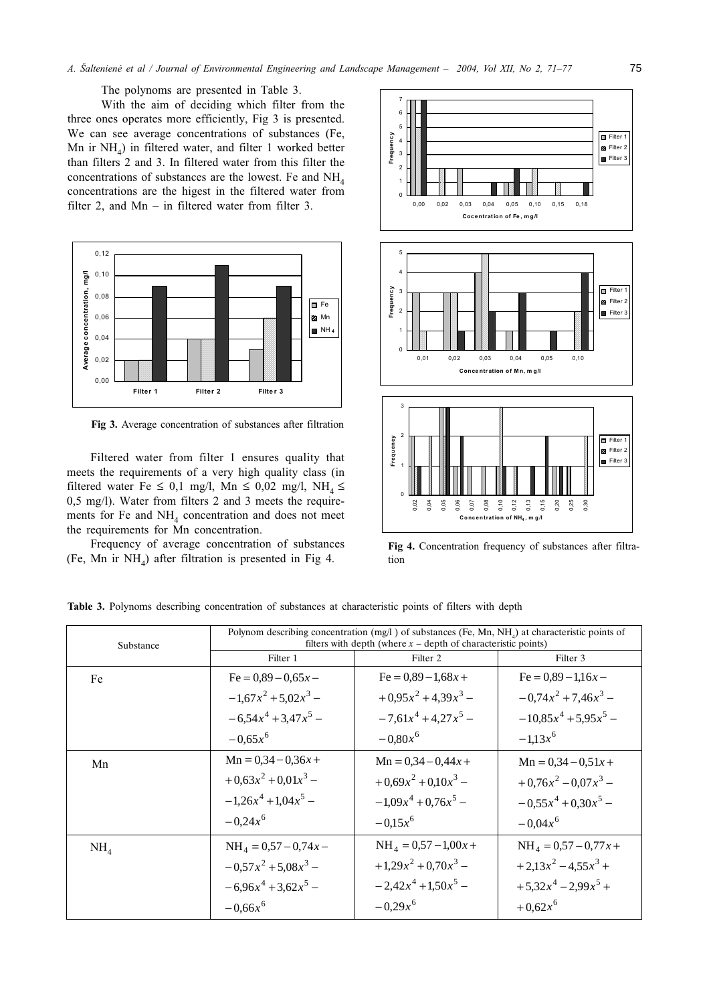The polynoms are presented in Table 3.

With the aim of deciding which filter from the three ones operates more efficiently, Fig 3 is presented. We can see average concentrations of substances (Fe, Mn ir  $NH<sub>4</sub>$ ) in filtered water, and filter 1 worked better than filters 2 and 3. In filtered water from this filter the concentrations of substances are the lowest. Fe and  $NH<sub>4</sub>$ concentrations are the higest in the filtered water from filter 2, and  $Mn - in$  filtered water from filter 3.



Fig 3. Average concentration of substances after filtration

Filtered water from filter 1 ensures quality that meets the requirements of a very high quality class (in filtered water Fe  $\leq$  0,1 mg/l, Mn  $\leq$  0,02 mg/l, NH<sub>4</sub>  $\leq$ 0,5 mg/l). Water from filters 2 and 3 meets the requirements for Fe and NH<sub>4</sub> concentration and does not meet the requirements for Mn concentration.

Frequency of average concentration of substances (Fe, Mn ir  $NH<sub>A</sub>$ ) after filtration is presented in Fig 4.



Fig 4. Concentration frequency of substances after filtration

| Substance       | Polynom describing concentration $(mg/l)$ of substances (Fe, Mn, NH <sub>a</sub> ) at characteristic points of<br>filters with depth (where $x$ – depth of characteristic points) |                            |                             |  |  |  |  |  |
|-----------------|-----------------------------------------------------------------------------------------------------------------------------------------------------------------------------------|----------------------------|-----------------------------|--|--|--|--|--|
|                 | Filter 1                                                                                                                                                                          | Filter <sub>2</sub>        | Filter 3                    |  |  |  |  |  |
| Fe              | $Fe = 0.89 - 0.65x -$                                                                                                                                                             | $Fe = 0.89 - 1.68x +$      | $Fe = 0.89 - 1.16x -$       |  |  |  |  |  |
|                 | $-1.67x^{2} + 5.02x^{3} -$                                                                                                                                                        | $+0.95x^{2}+4.39x^{3}$ –   | $-0.74x^{2} + 7.46x^{3} -$  |  |  |  |  |  |
|                 | $-6.54x^{4} + 3.47x^{5} -$                                                                                                                                                        | $-7.61x^{4} + 4.27x^{5} -$ | $-10.85x^{4} + 5.95x^{5} -$ |  |  |  |  |  |
|                 | $-0.65x^6$                                                                                                                                                                        | $-0.80x^6$                 | $-1.13x^{6}$                |  |  |  |  |  |
| Mn              | $Mn = 0,34 - 0,36x +$                                                                                                                                                             | $Mn = 0,34 - 0,44x +$      | $Mn = 0.34 - 0.51x +$       |  |  |  |  |  |
|                 | $+0.63x^{2}+0.01x^{3}$ –                                                                                                                                                          | $+0.69x^{2}+0.10x^{3}$ –   | $+0.76x^2-0.07x^3$ –        |  |  |  |  |  |
|                 | $-1.26x^{4} + 1.04x^{5} -$                                                                                                                                                        | $-1.09x^{4} + 0.76x^{5} -$ | $-0.55x^{4} + 0.30x^{5} -$  |  |  |  |  |  |
|                 | $-0.24x^6$                                                                                                                                                                        | $-0.15x^{6}$               | $-0.04x^6$                  |  |  |  |  |  |
| NH <sub>4</sub> | $NH4 = 0.57 - 0.74x -$                                                                                                                                                            | $NH4 = 0,57 - 1,00x +$     | $NH_{4} = 0.57 - 0.77x +$   |  |  |  |  |  |
|                 | $-0.57x^{2} + 5.08x^{3} -$                                                                                                                                                        | $+1,29x^{2} + 0,70x^{3} -$ | $+2.13x^{2}-4.55x^{3}+$     |  |  |  |  |  |
|                 | $-6.96x^{4} + 3.62x^{5} -$                                                                                                                                                        | $-2.42x^{4} +1.50x^{5} -$  | $+5.32x^{4}-2.99x^{5}+$     |  |  |  |  |  |
|                 | $-0.66x^6$                                                                                                                                                                        | $-0.29x^{6}$               | $+0.62x^{6}$                |  |  |  |  |  |

Table 3. Polynoms describing concentration of substances at characteristic points of filters with depth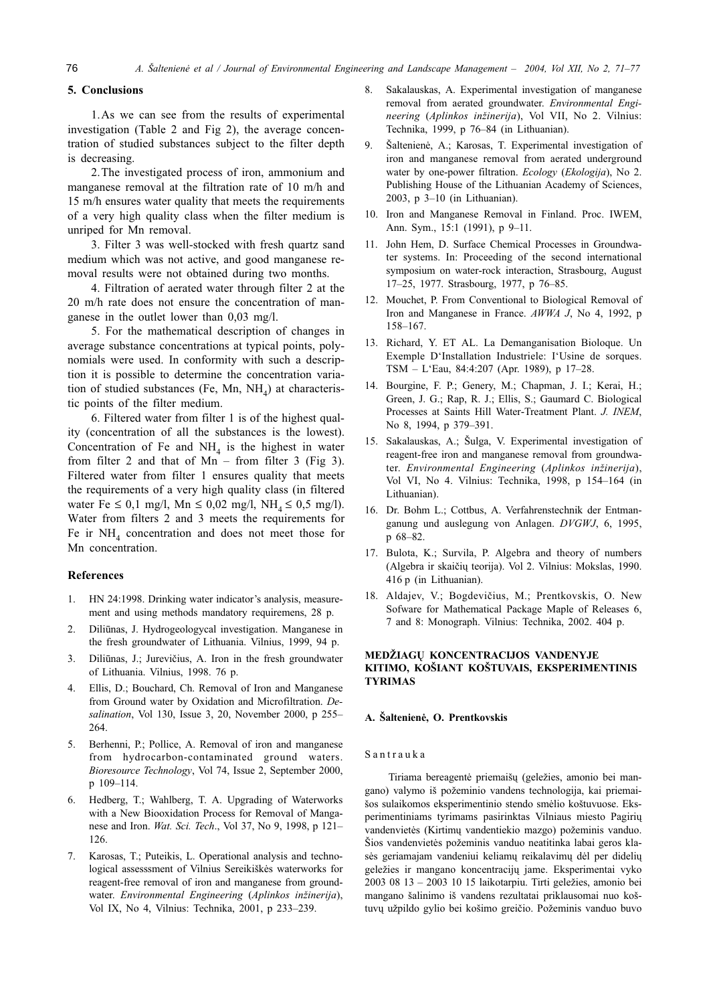## 5. Conclusions

1. As we can see from the results of experimental investigation (Table 2 and Fig 2), the average concentration of studied substances subject to the filter depth is decreasing.

2. The investigated process of iron, ammonium and manganese removal at the filtration rate of 10 m/h and 15 m/h ensures water quality that meets the requirements of a very high quality class when the filter medium is unriped for Mn removal.

3. Filter 3 was well-stocked with fresh quartz sand medium which was not active, and good manganese removal results were not obtained during two months.

4. Filtration of aerated water through filter 2 at the 20 m/h rate does not ensure the concentration of manganese in the outlet lower than 0,03 mg/l.

5. For the mathematical description of changes in average substance concentrations at typical points, polynomials were used. In conformity with such a description it is possible to determine the concentration variation of studied substances (Fe, Mn, NH<sub>4</sub>) at characteristic points of the filter medium.

6. Filtered water from filter 1 is of the highest quality (concentration of all the substances is the lowest). Concentration of Fe and  $NH<sub>4</sub>$  is the highest in water from filter 2 and that of  $Mn$  – from filter 3 (Fig 3). Filtered water from filter 1 ensures quality that meets the requirements of a very high quality class (in filtered water Fe  $\leq 0.1$  mg/l, Mn  $\leq 0.02$  mg/l, NH<sub>4</sub>  $\leq 0.5$  mg/l). Water from filters 2 and 3 meets the requirements for Fe ir  $NH<sub>4</sub>$  concentration and does not meet those for Mn concentration.

#### **References**

- HN 24:1998. Drinking water indicator's analysis, measure- $1_{-}$ ment and using methods mandatory requiremens, 28 p.
- Diliūnas, J. Hydrogeologycal investigation. Manganese in 2. the fresh groundwater of Lithuania. Vilnius, 1999, 94 p.
- Diliūnas, J.; Jurevičius, A. Iron in the fresh groundwater  $\overline{3}$ . of Lithuania. Vilnius, 1998. 76 p.
- Ellis, D.; Bouchard, Ch. Removal of Iron and Manganese 4. from Ground water by Oxidation and Microfiltration. Desalination, Vol 130, Issue 3, 20, November 2000, p 255-264.
- Berhenni, P.; Pollice, A. Removal of iron and manganese  $5<sup>7</sup>$ from hydrocarbon-contaminated ground waters. Bioresource Technology, Vol 74, Issue 2, September 2000, p 109-114.
- Hedberg, T.; Wahlberg, T. A. Upgrading of Waterworks 6. with a New Biooxidation Process for Removal of Manganese and Iron. Wat. Sci. Tech., Vol 37, No 9, 1998, p 121-126.
- 7. Karosas, T.; Puteikis, L. Operational analysis and technological assesssment of Vilnius Sereikiškės waterworks for reagent-free removal of iron and manganese from groundwater. Environmental Engineering (Aplinkos inžinerija), Vol IX, No 4, Vilnius: Technika, 2001, p 233-239.
- $\mathbf{R}$ Sakalauskas, A. Experimental investigation of manganese removal from aerated groundwater. Environmental Engineering (Aplinkos inžinerija), Vol VII, No 2. Vilnius: Technika, 1999, p 76-84 (in Lithuanian).
- Šaltenienė, A.; Karosas, T. Experimental investigation of 9. iron and manganese removal from aerated underground water by one-power filtration. Ecology (Ekologija), No 2. Publishing House of the Lithuanian Academy of Sciences, 2003, p 3-10 (in Lithuanian).
- 10. Iron and Manganese Removal in Finland. Proc. IWEM, Ann. Sym., 15:1 (1991), p 9-11.
- 11. John Hem, D. Surface Chemical Processes in Groundwater systems. In: Proceeding of the second international symposium on water-rock interaction, Strasbourg, August 17-25, 1977. Strasbourg, 1977, p 76-85.
- 12. Mouchet, P. From Conventional to Biological Removal of Iron and Manganese in France. AWWA J, No 4, 1992, p  $158 - 167.$
- 13. Richard, Y. ET AL. La Demanganisation Bioloque. Un Exemple D'Installation Industriele: I'Usine de sorques. TSM - L'Eau, 84:4:207 (Apr. 1989), p 17-28.
- 14. Bourgine, F. P.; Genery, M.; Chapman, J. I.; Kerai, H.; Green, J. G.; Rap, R. J.; Ellis, S.; Gaumard C. Biological Processes at Saints Hill Water-Treatment Plant. J. INEM, No 8, 1994, p 379-391.
- 15. Sakalauskas, A.; Šulga, V. Experimental investigation of reagent-free iron and manganese removal from groundwater. Environmental Engineering (Aplinkos inžinerija), Vol VI, No 4. Vilnius: Technika, 1998, p 154-164 (in Lithuanian).
- 16. Dr. Bohm L.; Cottbus, A. Verfahrenstechnik der Entmanganung und auslegung von Anlagen. DVGWJ, 6, 1995, p 68-82.
- 17. Bulota, K.; Survila, P. Algebra and theory of numbers (Algebra ir skaičių teorija). Vol 2. Vilnius: Mokslas, 1990. 416 p (in Lithuanian).
- 18. Aldajev, V.; Bogdevičius, M.; Prentkovskis, O. New Sofware for Mathematical Package Maple of Releases 6. 7 and 8: Monograph. Vilnius: Technika, 2002. 404 p.

## MEDŽIAGŲ KONCENTRACIJOS VANDENYJE KITIMO, KOŠIANT KOŠTUVAIS, EKSPERIMENTINIS **TYRIMAS**

#### A. Šaltenienė, O. Prentkovskis

#### Santrauka

Tiriama bereagentė priemaišų (geležies, amonio bei mangano) valymo iš požeminio vandens technologija, kai priemaišos sulaikomos eksperimentinio stendo smėlio koštuvuose. Eksperimentiniams tyrimams pasirinktas Vilniaus miesto Pagirių vandenvietės (Kirtimų vandentiekio mazgo) požeminis vanduo. Šios vandenvietės požeminis vanduo neatitinka labai geros klasės geriamajam vandeniui keliamų reikalavimų dėl per didelių geležies ir mangano koncentracijų jame. Eksperimentai vyko 2003 08 13 - 2003 10 15 laikotarpiu. Tirti geležies, amonio bei mangano šalinimo iš vandens rezultatai priklausomai nuo koštuvų užpildo gylio bei košimo greičio. Požeminis vanduo buvo